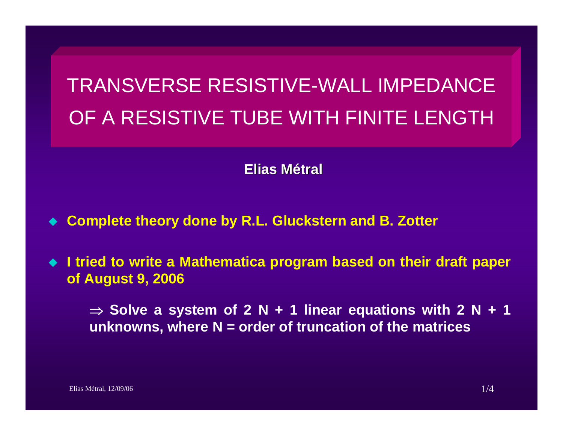# TRANSVERSE RESISTIVE-WALL IMPEDANCE OF A RESISTIVE TUBE WITH FINITE LENGTH

### **Elias Métral**

- ♦ **Complete theory done by R.L. Gluckstern and B. Zotter**
- ◆ **I tried to write a Mathematica program based on their draft paper of August 9, 2006**

⇒ **Solve a system of 2 N + 1 linear equations with 2 N + 1 unknowns, where N = order of truncation of the matrices**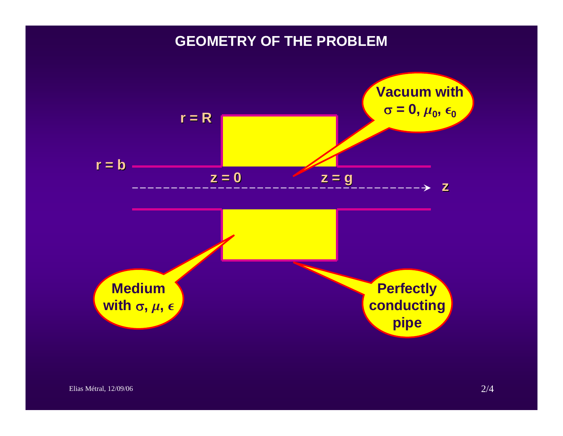### **GEOMETRY OF THE PROBLEM**

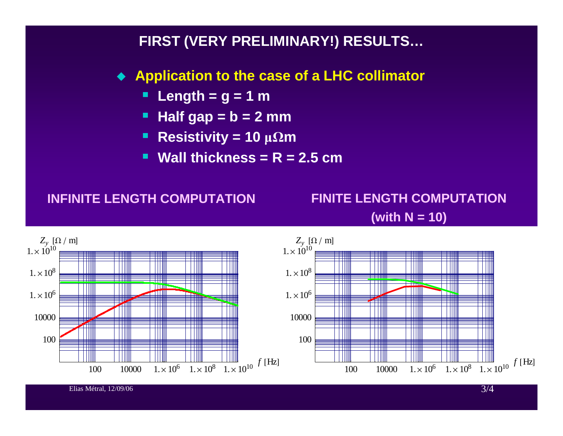### **FIRST (VERY PRELIMINARY!) RESULTS…**

- **Application to the case of a LHC collimator**
	- **Length = g = 1 m**
	- **Half gap = b = 2 mm**
	- п  $Resistivity = 10 \mu\Omega m$
	- **Wall thickness = R = 2.5 cm**

#### **INFINITE LENGTH COMPUTATION**

### **FINITE LENGTH COMPUTATION (with N = 10)**